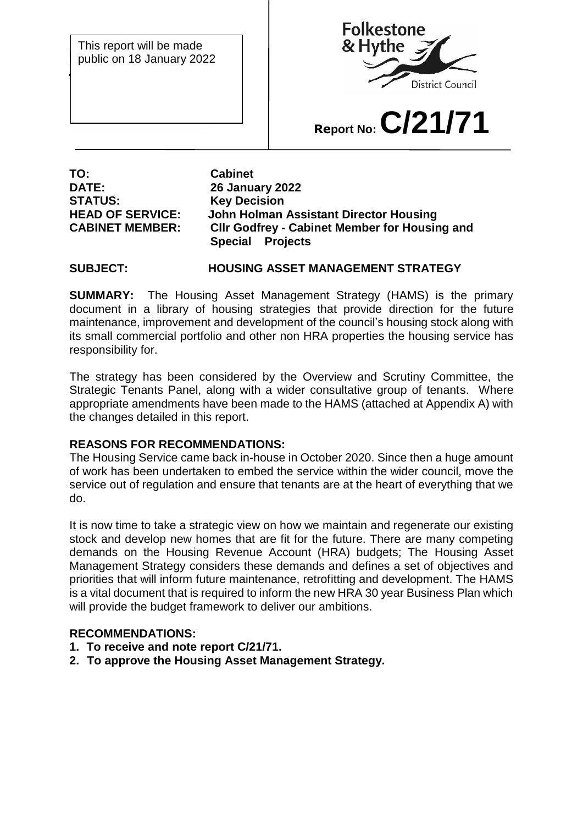This report will be made public on 18 January 2022



# **Report No:C/21/71**

**TO: Cabinet STATUS: Key Decision** 

**DATE: 26 January 2022 HEAD OF SERVICE: John Holman Assistant Director Housing CABINET MEMBER: Cllr Godfrey - Cabinet Member for Housing and Special Projects**

## **SUBJECT: HOUSING ASSET MANAGEMENT STRATEGY**

**SUMMARY:** The Housing Asset Management Strategy (HAMS) is the primary document in a library of housing strategies that provide direction for the future maintenance, improvement and development of the council's housing stock along with its small commercial portfolio and other non HRA properties the housing service has responsibility for.

The strategy has been considered by the Overview and Scrutiny Committee, the Strategic Tenants Panel, along with a wider consultative group of tenants. Where appropriate amendments have been made to the HAMS (attached at Appendix A) with the changes detailed in this report.

## **REASONS FOR RECOMMENDATIONS:**

The Housing Service came back in-house in October 2020. Since then a huge amount of work has been undertaken to embed the service within the wider council, move the service out of regulation and ensure that tenants are at the heart of everything that we do.

It is now time to take a strategic view on how we maintain and regenerate our existing stock and develop new homes that are fit for the future. There are many competing demands on the Housing Revenue Account (HRA) budgets; The Housing Asset Management Strategy considers these demands and defines a set of objectives and priorities that will inform future maintenance, retrofitting and development. The HAMS is a vital document that is required to inform the new HRA 30 year Business Plan which will provide the budget framework to deliver our ambitions.

## **RECOMMENDATIONS:**

- **1. To receive and note report C/21/71.**
- **2. To approve the Housing Asset Management Strategy.**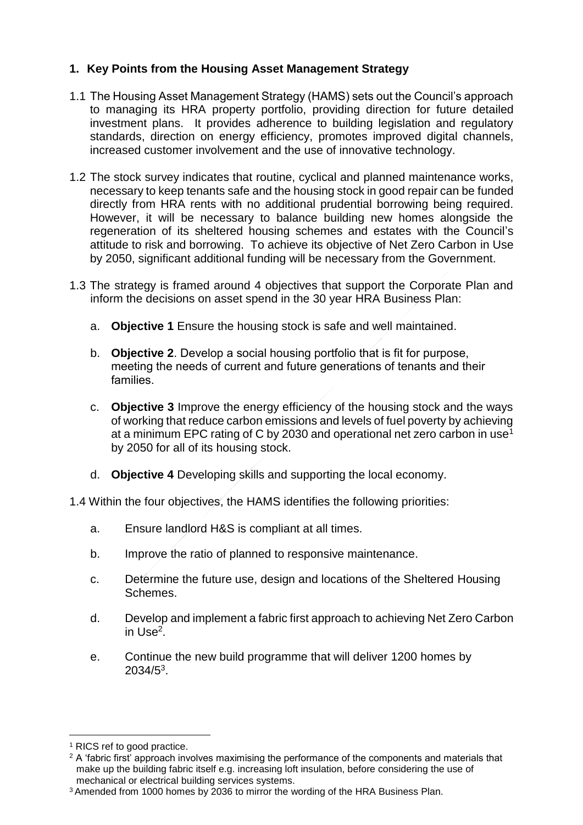# **1. Key Points from the Housing Asset Management Strategy**

- 1.1 The Housing Asset Management Strategy (HAMS) sets out the Council's approach to managing its HRA property portfolio, providing direction for future detailed investment plans. It provides adherence to building legislation and regulatory standards, direction on energy efficiency, promotes improved digital channels, increased customer involvement and the use of innovative technology.
- 1.2 The stock survey indicates that routine, cyclical and planned maintenance works, necessary to keep tenants safe and the housing stock in good repair can be funded directly from HRA rents with no additional prudential borrowing being required. However, it will be necessary to balance building new homes alongside the regeneration of its sheltered housing schemes and estates with the Council's attitude to risk and borrowing. To achieve its objective of Net Zero Carbon in Use by 2050, significant additional funding will be necessary from the Government.
- 1.3 The strategy is framed around 4 objectives that support the Corporate Plan and inform the decisions on asset spend in the 30 year HRA Business Plan:
	- a. **Objective 1** Ensure the housing stock is safe and well maintained.
	- b. **Objective 2**. Develop a social housing portfolio that is fit for purpose, meeting the needs of current and future generations of tenants and their families.
	- c. **Objective 3** Improve the energy efficiency of the housing stock and the ways of working that reduce carbon emissions and levels of fuel poverty by achieving at a minimum EPC rating of C by 2030 and operational net zero carbon in use<sup>1</sup> by 2050 for all of its housing stock.
	- d. **Objective 4** Developing skills and supporting the local economy.

1.4 Within the four objectives, the HAMS identifies the following priorities:

- a. Ensure landlord H&S is compliant at all times.
- b. Improve the ratio of planned to responsive maintenance.
- c. Determine the future use, design and locations of the Sheltered Housing Schemes.
- d. Develop and implement a fabric first approach to achieving Net Zero Carbon in Use<sup>2</sup>.
- e. Continue the new build programme that will deliver 1200 homes by  $2034/5^3$ .

 $\overline{a}$ 

<sup>1</sup> RICS ref to good practice.

<sup>&</sup>lt;sup>2</sup> A 'fabric first' approach involves maximising the performance of the components and materials that make up the building fabric itself e.g. increasing loft insulation, before considering the use of mechanical or electrical building services systems.

<sup>3</sup> Amended from 1000 homes by 2036 to mirror the wording of the HRA Business Plan.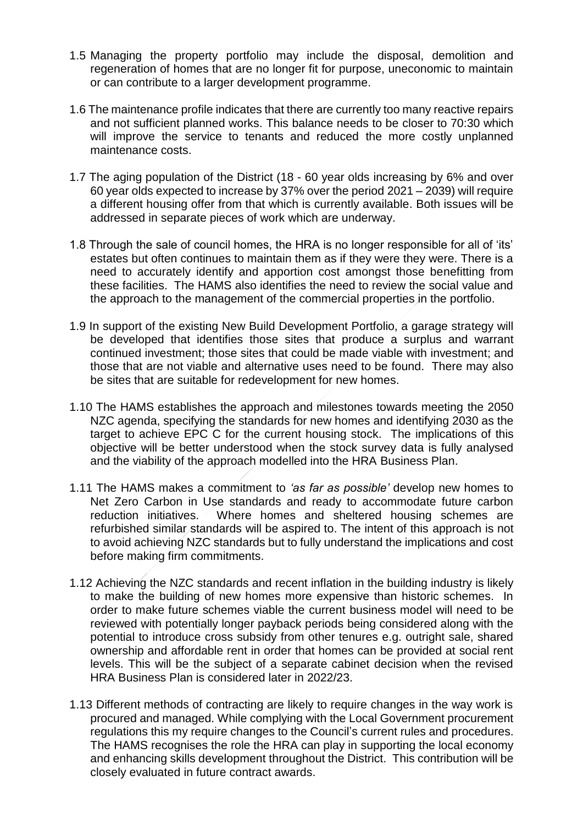- 1.5 Managing the property portfolio may include the disposal, demolition and regeneration of homes that are no longer fit for purpose, uneconomic to maintain or can contribute to a larger development programme.
- 1.6 The maintenance profile indicates that there are currently too many reactive repairs and not sufficient planned works. This balance needs to be closer to 70:30 which will improve the service to tenants and reduced the more costly unplanned maintenance costs.
- 1.7 The aging population of the District (18 60 year olds increasing by 6% and over 60 year olds expected to increase by 37% over the period 2021 – 2039) will require a different housing offer from that which is currently available. Both issues will be addressed in separate pieces of work which are underway.
- 1.8 Through the sale of council homes, the HRA is no longer responsible for all of 'its' estates but often continues to maintain them as if they were they were. There is a need to accurately identify and apportion cost amongst those benefitting from these facilities. The HAMS also identifies the need to review the social value and the approach to the management of the commercial properties in the portfolio.
- 1.9 In support of the existing New Build Development Portfolio, a garage strategy will be developed that identifies those sites that produce a surplus and warrant continued investment; those sites that could be made viable with investment; and those that are not viable and alternative uses need to be found. There may also be sites that are suitable for redevelopment for new homes.
- 1.10 The HAMS establishes the approach and milestones towards meeting the 2050 NZC agenda, specifying the standards for new homes and identifying 2030 as the target to achieve EPC C for the current housing stock. The implications of this objective will be better understood when the stock survey data is fully analysed and the viability of the approach modelled into the HRA Business Plan.
- 1.11 The HAMS makes a commitment to *'as far as possible'* develop new homes to Net Zero Carbon in Use standards and ready to accommodate future carbon reduction initiatives. Where homes and sheltered housing schemes are refurbished similar standards will be aspired to. The intent of this approach is not to avoid achieving NZC standards but to fully understand the implications and cost before making firm commitments.
- 1.12 Achieving the NZC standards and recent inflation in the building industry is likely to make the building of new homes more expensive than historic schemes. In order to make future schemes viable the current business model will need to be reviewed with potentially longer payback periods being considered along with the potential to introduce cross subsidy from other tenures e.g. outright sale, shared ownership and affordable rent in order that homes can be provided at social rent levels. This will be the subject of a separate cabinet decision when the revised HRA Business Plan is considered later in 2022/23.
- 1.13 Different methods of contracting are likely to require changes in the way work is procured and managed. While complying with the Local Government procurement regulations this my require changes to the Council's current rules and procedures. The HAMS recognises the role the HRA can play in supporting the local economy and enhancing skills development throughout the District. This contribution will be closely evaluated in future contract awards.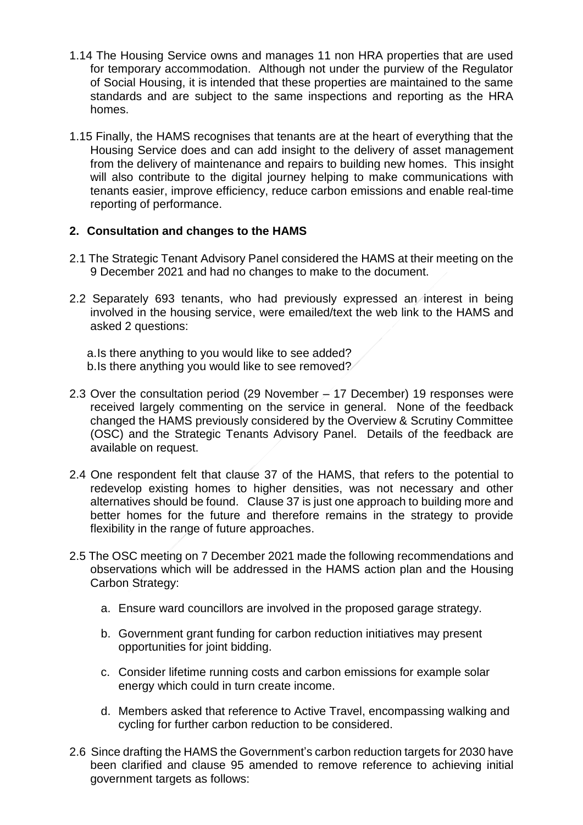- 1.14 The Housing Service owns and manages 11 non HRA properties that are used for temporary accommodation. Although not under the purview of the Regulator of Social Housing, it is intended that these properties are maintained to the same standards and are subject to the same inspections and reporting as the HRA homes.
- 1.15 Finally, the HAMS recognises that tenants are at the heart of everything that the Housing Service does and can add insight to the delivery of asset management from the delivery of maintenance and repairs to building new homes. This insight will also contribute to the digital journey helping to make communications with tenants easier, improve efficiency, reduce carbon emissions and enable real-time reporting of performance.

## **2. Consultation and changes to the HAMS**

- 2.1 The Strategic Tenant Advisory Panel considered the HAMS at their meeting on the 9 December 2021 and had no changes to make to the document.
- 2.2 Separately 693 tenants, who had previously expressed an interest in being involved in the housing service, were emailed/text the web link to the HAMS and asked 2 questions:

a.Is there anything to you would like to see added? b.Is there anything you would like to see removed?

- 2.3 Over the consultation period (29 November 17 December) 19 responses were received largely commenting on the service in general. None of the feedback changed the HAMS previously considered by the Overview & Scrutiny Committee (OSC) and the Strategic Tenants Advisory Panel. Details of the feedback are available on request.
- 2.4 One respondent felt that clause 37 of the HAMS, that refers to the potential to redevelop existing homes to higher densities, was not necessary and other alternatives should be found. Clause 37 is just one approach to building more and better homes for the future and therefore remains in the strategy to provide flexibility in the range of future approaches.
- 2.5 The OSC meeting on 7 December 2021 made the following recommendations and observations which will be addressed in the HAMS action plan and the Housing Carbon Strategy:
	- a. Ensure ward councillors are involved in the proposed garage strategy.
	- b. Government grant funding for carbon reduction initiatives may present opportunities for joint bidding.
	- c. Consider lifetime running costs and carbon emissions for example solar energy which could in turn create income.
	- d. Members asked that reference to Active Travel, encompassing walking and cycling for further carbon reduction to be considered.
- 2.6 Since drafting the HAMS the Government's carbon reduction targets for 2030 have been clarified and clause 95 amended to remove reference to achieving initial government targets as follows: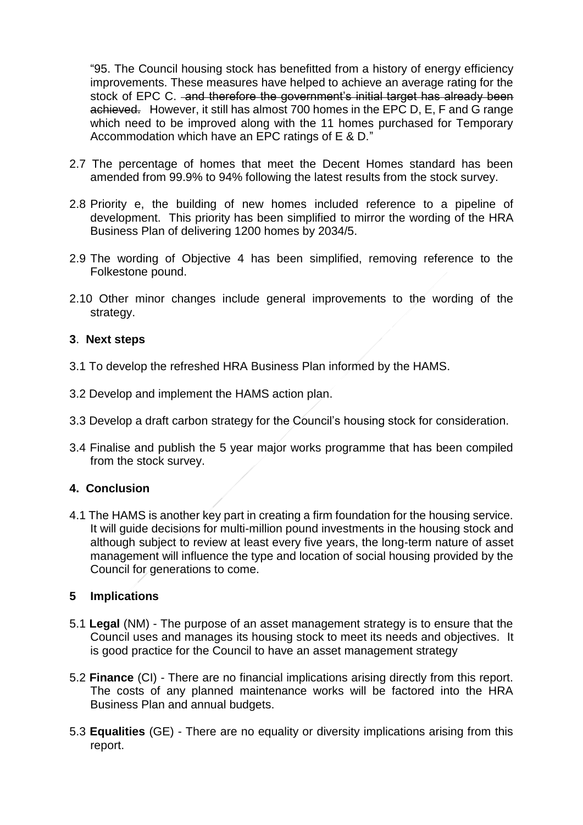"95. The Council housing stock has benefitted from a history of energy efficiency improvements. These measures have helped to achieve an average rating for the stock of EPC C. and therefore the government's initial target has already been achieved. However, it still has almost 700 homes in the EPC D, E, F and G range which need to be improved along with the 11 homes purchased for Temporary Accommodation which have an EPC ratings of E & D."

- 2.7 The percentage of homes that meet the Decent Homes standard has been amended from 99.9% to 94% following the latest results from the stock survey.
- 2.8 Priority e, the building of new homes included reference to a pipeline of development. This priority has been simplified to mirror the wording of the HRA Business Plan of delivering 1200 homes by 2034/5.
- 2.9 The wording of Objective 4 has been simplified, removing reference to the Folkestone pound.
- 2.10 Other minor changes include general improvements to the wording of the strategy.

## **3**. **Next steps**

- 3.1 To develop the refreshed HRA Business Plan informed by the HAMS.
- 3.2 Develop and implement the HAMS action plan.
- 3.3 Develop a draft carbon strategy for the Council's housing stock for consideration.
- 3.4 Finalise and publish the 5 year major works programme that has been compiled from the stock survey.

## **4. Conclusion**

4.1 The HAMS is another key part in creating a firm foundation for the housing service. It will guide decisions for multi-million pound investments in the housing stock and although subject to review at least every five years, the long-term nature of asset management will influence the type and location of social housing provided by the Council for generations to come.

## **5 Implications**

- 5.1 **Legal** (NM) The purpose of an asset management strategy is to ensure that the Council uses and manages its housing stock to meet its needs and objectives. It is good practice for the Council to have an asset management strategy
- 5.2 **Finance** (CI) There are no financial implications arising directly from this report. The costs of any planned maintenance works will be factored into the HRA Business Plan and annual budgets.
- 5.3 **Equalities** (GE) There are no equality or diversity implications arising from this report.